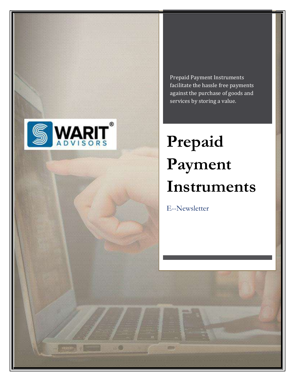

 $\mathfrak{m}$ 

Prepaid Payment Instruments facilitate the hassle free payments against the purchase of goods and services by storing a value.

# **Prepaid Payment Instruments**

E--Newsletter

2010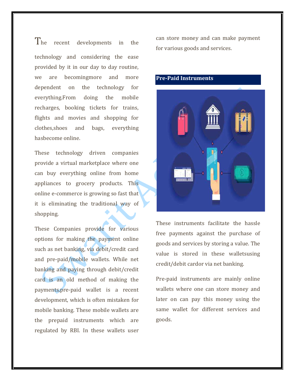The recent developments in the technology and considering the ease provided by it in our day to day routine, we are becomingmore and more dependent on the technology for everything.From doing the mobile recharges, booking tickets for trains, flights and movies and shopping for clothes,shoes and bags, everything hasbecome online.

These technology driven companies provide a virtual marketplace where one can buy everything online from home appliances to grocery products. This online e-commerce is growing so fast that it is eliminating the traditional way of shopping.

These Companies provide for various options for making the payment online such as net banking, via debit/credit card and pre-paid/mobile wallets. While net banking and paying through debit/credit card is an old method of making the payments,pre-paid wallet is a recent development, which is often mistaken for mobile banking. These mobile wallets are the prepaid instruments which are regulated by RBI. In these wallets user

can store money and can make payment for various goods and services.

# **Pre-Paid Instruments**



These instruments facilitate the hassle free payments against the purchase of goods and services by storing a value. The value is stored in these walletsusing credit/debit cardor via net banking.

Pre-paid instruments are mainly online wallets where one can store money and later on can pay this money using the same wallet for different services and goods.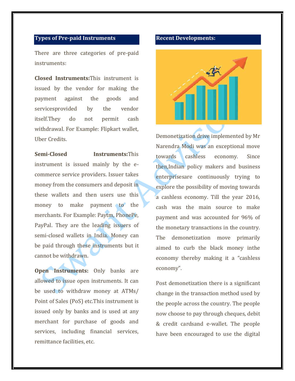### **Types of Pre-paid Instruments**

There are three categories of pre-paid instruments:

**Closed Instruments:**This instrument is issued by the vendor for making the payment against the goods and servicesprovided by the vendor itself.They do not permit cash withdrawal. For Example: Flipkart wallet, Uber Credits.

**Semi-Closed Instruments:**This instrument is issued mainly by the ecommerce service providers. Issuer takes money from the consumers and deposit in these wallets and then users use this money to make payment to the merchants. For Example: Paytm, PhonePe, PayPal. They are the leading issuers of semi-closed wallets in India. Money can be paid through these instruments but it cannot be withdrawn.

**Open Instruments:** Only banks are allowed to issue open instruments. It can be used to withdraw money at ATMs/ Point of Sales (PoS) etc.This instrument is issued only by banks and is used at any merchant for purchase of goods and services, including financial services, remittance facilities, etc.

#### **Recent Developments:**



Demonetization drive implemented by Mr Narendra Modi was an exceptional move towards cashless economy. Since then,Indian policy makers and business enterprisesare continuously trying to explore the possibility of moving towards a cashless economy. Till the year 2016, cash was the main source to make payment and was accounted for 96% of the monetary transactions in the country. The demonetization move primarily aimed to curb the black money inthe economy thereby making it a "cashless economy".

Post demonetization there is a significant change in the transaction method used by the people across the country. The people now choose to pay through cheques, debit & credit cardsand e-wallet. The people have been encouraged to use the digital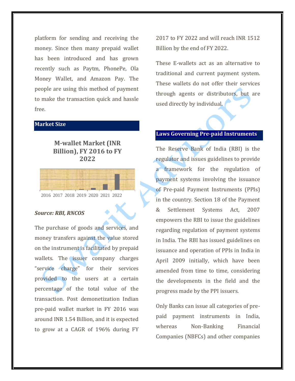platform for sending and receiving the money. Since then many prepaid wallet has been introduced and has grown recently such as Paytm, PhonePe, Ola Money Wallet, and Amazon Pay. The people are using this method of payment to make the transaction quick and hassle free.

# **Market Size**

# **M-wallet Market (INR Billion), FY 2016 to FY 2022**



#### *Source: RBI, RNCOS*

The purchase of goods and services, and money transfers against the value stored on the instrument is facilitated by prepaid wallets. The issuer company charges "service charge" for their services provided to the users at a certain percentage of the total value of the transaction. Post demonetization Indian pre-paid wallet market in FY 2016 was around INR 1.54 Billion, and it is expected to grow at a CAGR of 196% during FY

2017 to FY 2022 and will reach INR 1512 Billion by the end of FY 2022.

These E-wallets act as an alternative to traditional and current payment system. These wallets do not offer their services through agents or distributors, but are used directly by individual.

## **Laws Governing Pre-paid Instruments**

The Reserve Bank of India (RBI) is the regulator and issues guidelines to provide a framework for the regulation of payment systems involving the issuance of Pre-paid Payment Instruments (PPIs) in the country. Section 18 of the Payment & Settlement Systems Act, 2007 empowers the RBI to issue the guidelines regarding regulation of payment systems in India. The RBI has issued guidelines on issuance and operation of PPIs in India in April 2009 initially, which have been amended from time to time, considering the developments in the field and the progress made by the PPI issuers.

Only Banks can issue all categories of prepaid payment instruments in India, whereas Non-Banking Financial Companies (NBFCs) and other companies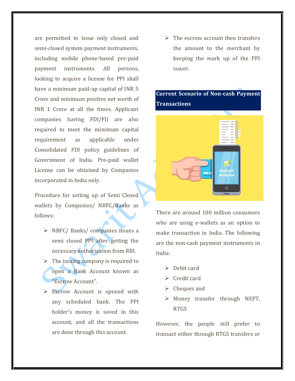are permitted to issue only closed and semi-closed system payment instruments, including mobile phone-based pre-paid payment instruments. All persons, looking to acquire a license for PPI shall have a minimum paid-up capital of INR 5 Crore and minimum positive net worth of INR 1 Crore at all the times. Applicant companies having FDI/FII are also required to meet the minimum capital requirement as applicable under Consolidated FDI policy guidelines of Government of India. Pre-paid wallet License can be obtained by Companies incorporated in India only.

Procedure for setting up of Semi Closed wallets by Companies/ NBFC/Banks as follows:

- ➢ NBFC/ Banks/ companies issues a semi closed PPI after getting the necessary authorization from RBI.
- $\triangleright$  The issuing company is required to open a Bank Account known as "Escrow Account".
- ➢ Escrow Account is opened with any scheduled bank. The PPI holder's money is saved in this account, and all the transactions are done through this account.

 $\triangleright$  The escrow account then transfers the amount to the merchant by keeping the mark up of the PPI issuer.

# **Current Scenario of Non-cash Payment Transactions**



There are around 100 million consumers who are using e-wallets as an option to make transaction in India. The following are the non-cash payment instruments in India:

- ➢ Debit card
- ➢ Credit card
- $\triangleright$  Cheques and
- ➢ Money transfer through NEFT, RTGS

However, the people still prefer to transact either through RTGS transfers or